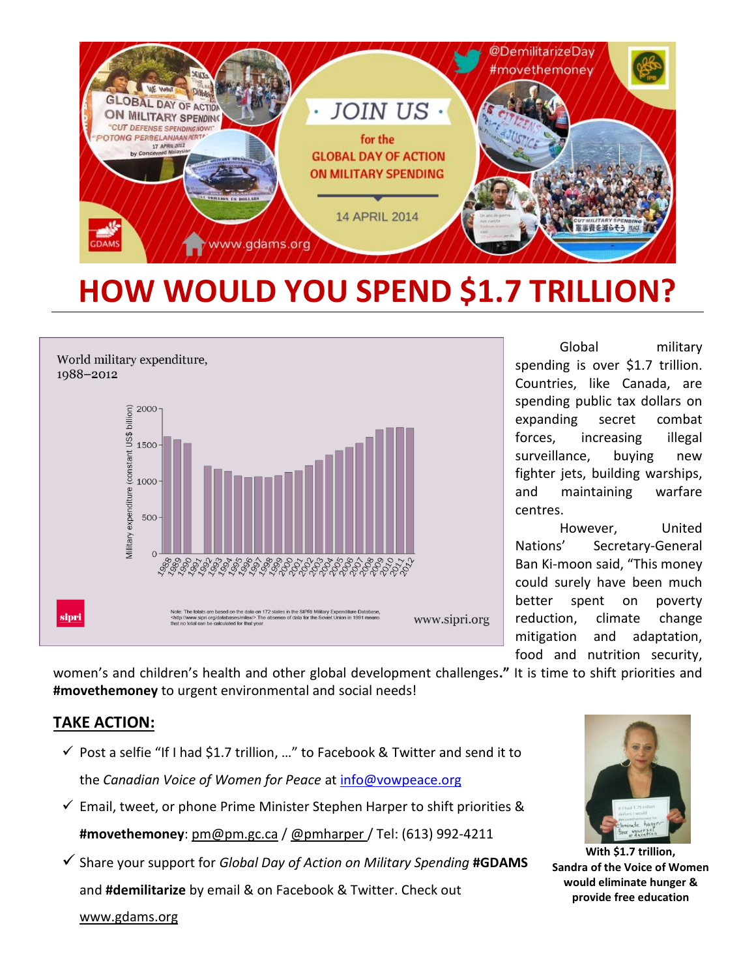

## **HOW WOULD YOU SPEND \$1.7 TRILLION?**



Global military spending is over \$1.7 trillion. Countries, like Canada, are spending public tax dollars on expanding secret combat forces, increasing illegal surveillance, buying new fighter jets, building warships, and maintaining warfare centres.

However, United Nations' Secretary-General Ban Ki-moon said, "This money could surely have been much better spent on poverty reduction, climate change mitigation and adaptation, food and nutrition security,

women's and children's health and other global development challenges**."** It is time to shift priorities and **#movethemoney** to urgent environmental and social needs!

## **TAKE ACTION:**

- $\checkmark$  Post a selfie "If I had \$1.7 trillion, ..." to Facebook & Twitter and send it to the *Canadian Voice of Women for Peace* at [info@vowpeace.org](mailto:info@vowpeace.org)
- $\checkmark$  Email, tweet, or phone Prime Minister Stephen Harper to shift priorities & **#movethemoney**: pm@pm.gc.ca / @pmharper / Tel: (613) 992-4211
- Share your support for *Global Day of Action on Military Spending* **#GDAMS** and **#demilitarize** by email & on Facebook & Twitter. Check out www.gdams.org



**With \$1.7 trillion, Sandra of the Voice of Women would eliminate hunger & provide free education**